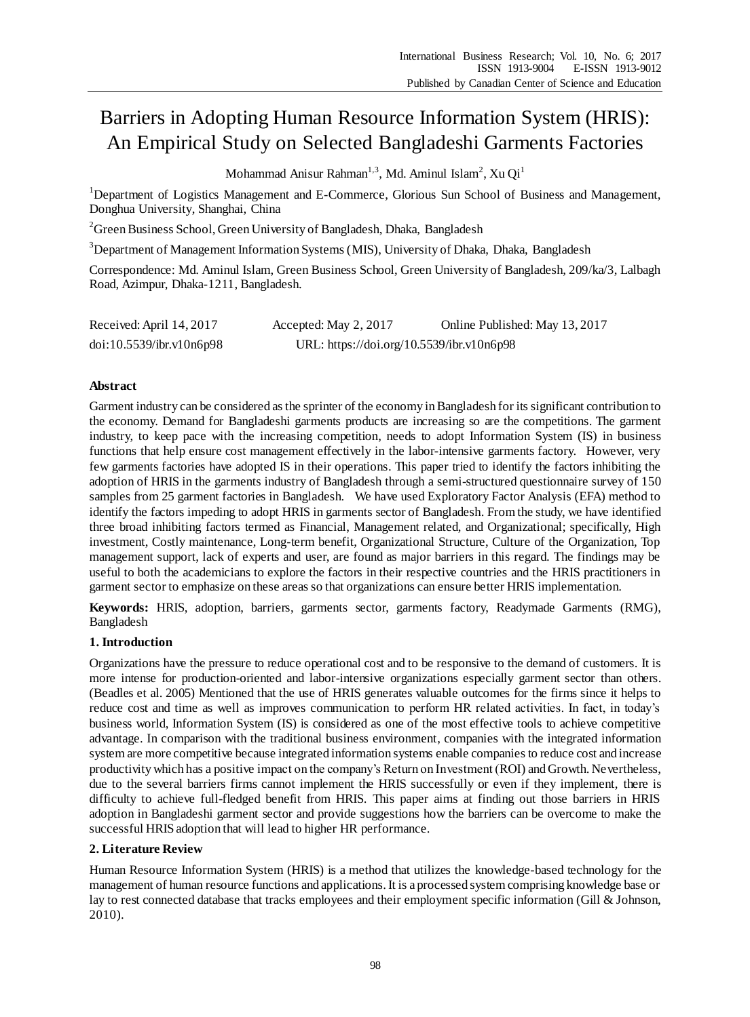# Barriers in Adopting Human Resource Information System (HRIS): An Empirical Study on Selected Bangladeshi Garments Factories

Mohammad Anisur Rahman<sup>1,3</sup>, Md. Aminul Islam<sup>2</sup>, Xu Qi<sup>1</sup>

<sup>1</sup>Department of Logistics Management and E-Commerce, Glorious Sun School of Business and Management, Donghua University, Shanghai, China

<sup>2</sup> Green Business School, Green University of Bangladesh, Dhaka, Bangladesh

<sup>3</sup>Department of Management Information Systems (MIS), University of Dhaka, Dhaka, Bangladesh

Correspondence: Md. Aminul Islam, Green Business School, Green University of Bangladesh, 209/ka/3, Lalbagh Road, Azimpur, Dhaka-1211, Bangladesh.

| Received: April 14, 2017 | Accepted: May 2, 2017                     | Online Published: May 13, 2017 |
|--------------------------|-------------------------------------------|--------------------------------|
| doi:10.5539/ibr.v10n6p98 | URL: https://doi.org/10.5539/ibr.v10n6p98 |                                |

# **Abstract**

Garment industry can be considered as the sprinter of the economy in Bangladesh for its significant contribution to the economy. Demand for Bangladeshi garments products are increasing so are the competitions. The garment industry, to keep pace with the increasing competition, needs to adopt Information System (IS) in business functions that help ensure cost management effectively in the labor-intensive garments factory. However, very few garments factories have adopted IS in their operations. This paper tried to identify the factors inhibiting the adoption of HRIS in the garments industry of Bangladesh through a semi-structured questionnaire survey of 150 samples from 25 garment factories in Bangladesh. We have used Exploratory Factor Analysis (EFA) method to identify the factors impeding to adopt HRIS in garments sector of Bangladesh. From the study, we have identified three broad inhibiting factors termed as Financial, Management related, and Organizational; specifically, High investment, Costly maintenance, Long-term benefit, Organizational Structure, Culture of the Organization, Top management support, lack of experts and user, are found as major barriers in this regard. The findings may be useful to both the academicians to explore the factors in their respective countries and the HRIS practitioners in garment sector to emphasize on these areas so that organizations can ensure better HRIS implementation.

**Keywords:** HRIS, adoption, barriers, garments sector, garments factory, Readymade Garments (RMG), Bangladesh

# **1. Introduction**

Organizations have the pressure to reduce operational cost and to be responsive to the demand of customers. It is more intense for production-oriented and labor-intensive organizations especially garment sector than others. (Beadles et al. 2005) Mentioned that the use of HRIS generates valuable outcomes for the firms since it helps to reduce cost and time as well as improves communication to perform HR related activities. In fact, in today's business world, Information System (IS) is considered as one of the most effective tools to achieve competitive advantage. In comparison with the traditional business environment, companies with the integrated information system are more competitive because integrated information systems enable companies to reduce cost and increase productivity which has a positive impact on the company's Return on Investment (ROI) and Growth. Nevertheless, due to the several barriers firms cannot implement the HRIS successfully or even if they implement, there is difficulty to achieve full-fledged benefit from HRIS. This paper aims at finding out those barriers in HRIS adoption in Bangladeshi garment sector and provide suggestions how the barriers can be overcome to make the successful HRIS adoption that will lead to higher HR performance.

# **2. Literature Review**

Human Resource Information System (HRIS) is a method that utilizes the knowledge-based technology for the management of human resource functions and applications. It is a processed system comprising knowledge base or lay to rest connected database that tracks employees and their employment specific information (Gill & Johnson, 2010).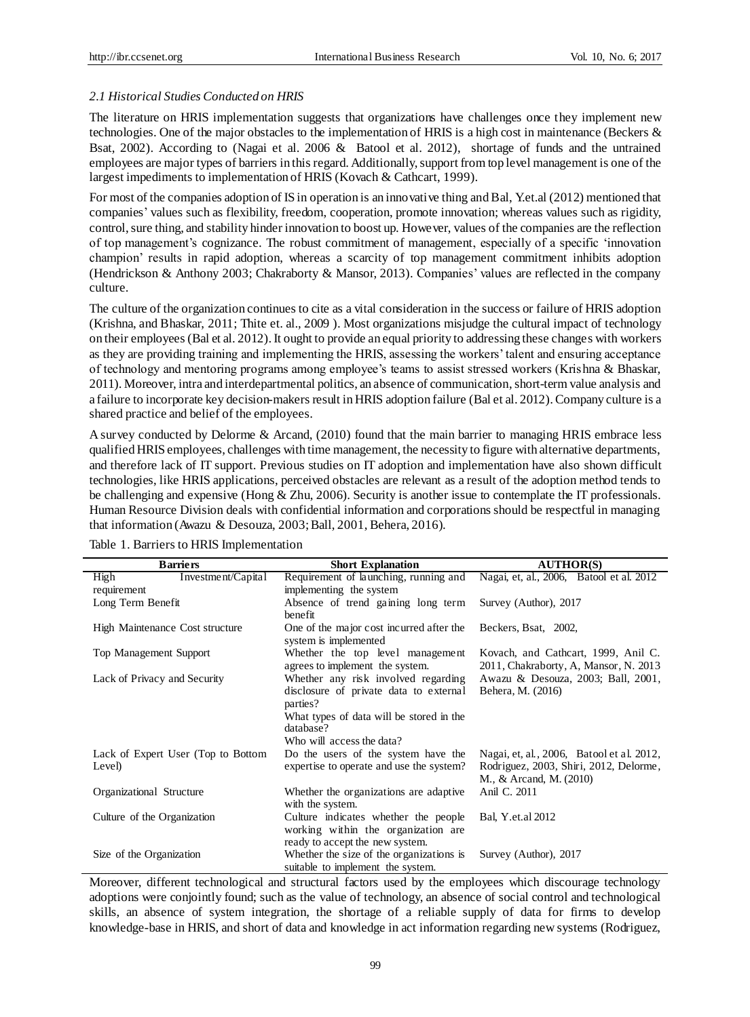## *2.1 Historical Studies Conducted on HRIS*

The literature on HRIS implementation suggests that organizations have challenges once they implement new technologies. One of the major obstacles to the implementation of HRIS is a high cost in maintenance (Beckers & Bsat, 2002). According to (Nagai et al. 2006 & Batool et al. 2012), shortage of funds and the untrained employees are major types of barriers in this regard. Additionally, support from top level management is one of the largest impediments to implementation of HRIS (Kovach & Cathcart, 1999).

For most of the companies adoption of IS in operation is an innovative thing and Bal, Y.et.al (2012) mentioned that companies' values such as flexibility, freedom, cooperation, promote innovation; whereas values such as rigidity, control, sure thing, and stability hinder innovation to boost up. However, values of the companies are the reflection of top management's cognizance. The robust commitment of management, especially of a specific 'innovation champion' results in rapid adoption, whereas a scarcity of top management commitment inhibits adoption (Hendrickson & Anthony 2003; Chakraborty & Mansor, 2013). Companies' values are reflected in the company culture.

The culture of the organization continues to cite as a vital consideration in the success or failure of HRIS adoption (Krishna, and Bhaskar, 2011; Thite et. al., 2009 ). Most organizations misjudge the cultural impact of technology on their employees (Bal et al. 2012). It ought to provide an equal priority to addressing these changes with workers as they are providing training and implementing the HRIS, assessing the workers' talent and ensuring acceptance of technology and mentoring programs among employee's teams to assist stressed workers (Krishna & Bhaskar, 2011). Moreover, intra and interdepartmental politics, an absence of communication,short-term value analysis and a failure to incorporate key decision-makers result in HRIS adoption failure (Bal et al. 2012).Company culture is a shared practice and belief of the employees.

A survey conducted by Delorme & Arcand, (2010) found that the main barrier to managing HRIS embrace less qualified HRIS employees, challenges with time management, the necessity to figure with alternative departments, and therefore lack of IT support. Previous studies on IT adoption and implementation have also shown difficult technologies, like HRIS applications, perceived obstacles are relevant as a result of the adoption method tends to be challenging and expensive (Hong & Zhu, 2006). Security is another issue to contemplate the IT professionals. Human Resource Division deals with confidential information and corporations should be respectful in managing that information (Awazu & Desouza, 2003; Ball, 2001, Behera, 2016).

| <b>Barriers</b>                              | <b>Short Explanation</b>                                                                                       | <b>AUTHOR(S)</b>                                                                                               |
|----------------------------------------------|----------------------------------------------------------------------------------------------------------------|----------------------------------------------------------------------------------------------------------------|
| Investment/Capital<br>High                   | Requirement of launching, running and                                                                          | Nagai, et, al., 2006, Batool et al. 2012                                                                       |
| requirement                                  | implementing the system                                                                                        |                                                                                                                |
| Long Term Benefit                            | Absence of trend gaining long term<br>benefit                                                                  | Survey (Author), 2017                                                                                          |
| High Maintenance Cost structure              | One of the major cost incurred after the<br>system is implemented                                              | Beckers, Bsat, 2002,                                                                                           |
| Top Management Support                       | Whether the top level management<br>agrees to implement the system.                                            | Kovach, and Cathcart, 1999, Anil C.<br>2011, Chakraborty, A, Mansor, N. 2013                                   |
| Lack of Privacy and Security                 | Whether any risk involved regarding<br>disclosure of private data to external<br>parties?                      | Awazu & Desouza, 2003; Ball, 2001,<br>Behera, M. (2016)                                                        |
|                                              | What types of data will be stored in the<br>database?<br>Who will access the data?                             |                                                                                                                |
| Lack of Expert User (Top to Bottom<br>Level) | Do the users of the system have the<br>expertise to operate and use the system?                                | Nagai, et, al., 2006, Batool et al. 2012,<br>Rodriguez, 2003, Shiri, 2012, Delorme,<br>M., & Arcand, M. (2010) |
| Organizational Structure                     | Whether the organizations are adaptive.<br>with the system.                                                    | Anil C. 2011                                                                                                   |
| Culture of the Organization                  | Culture indicates whether the people<br>working within the organization are<br>ready to accept the new system. | Bal, Y.et.al 2012                                                                                              |
| Size of the Organization                     | Whether the size of the organizations is<br>suitable to implement the system.                                  | Survey (Author), 2017                                                                                          |

Table 1. Barriers to HRIS Implementation

Moreover, different technological and structural factors used by the employees which discourage technology adoptions were conjointly found; such as the value of technology, an absence of social control and technological skills, an absence of system integration, the shortage of a reliable supply of data for firms to develop knowledge-base in HRIS, and short of data and knowledge in act information regarding new systems (Rodriguez,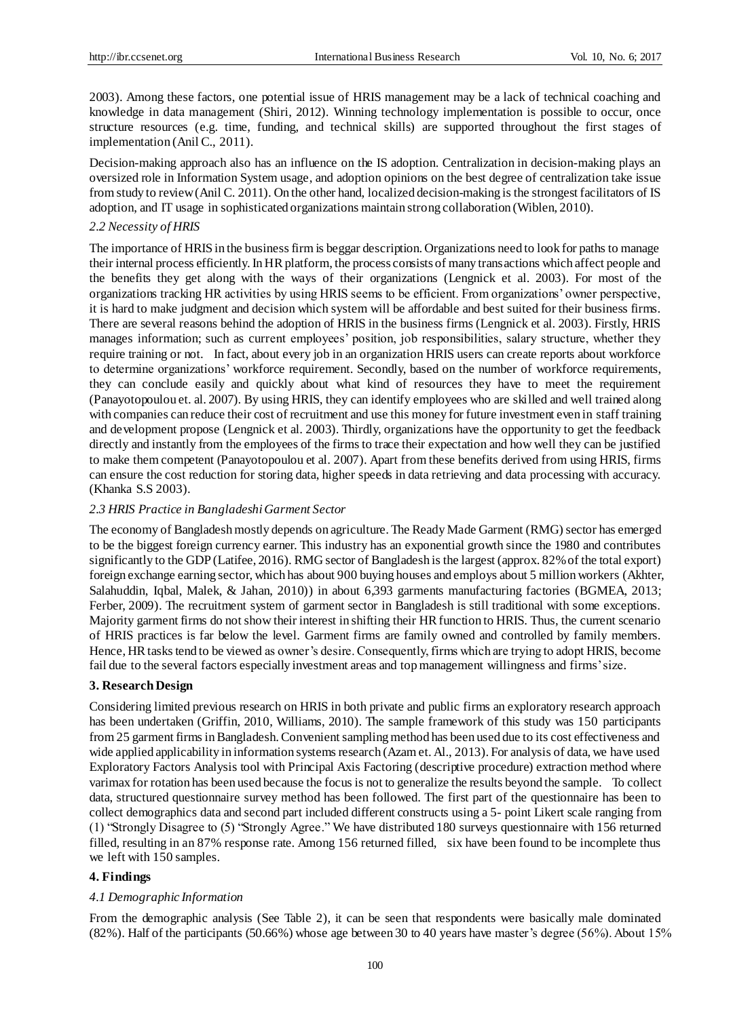2003). Among these factors, one potential issue of HRIS management may be a lack of technical coaching and knowledge in data management (Shiri, 2012). Winning technology implementation is possible to occur, once structure resources (e.g. time, funding, and technical skills) are supported throughout the first stages of implementation (Anil C., 2011).

Decision-making approach also has an influence on the IS adoption. Centralization in decision-making plays an oversized role in Information System usage, and adoption opinions on the best degree of centralization take issue from study to review (Anil C. 2011). On the other hand, localized decision-making is the strongest facilitators of IS adoption, and IT usage in sophisticated organizations maintain strong collaboration (Wiblen, 2010).

## *2.2 Necessity of HRIS*

The importance of HRIS in the business firm is beggar description. Organizations need to look for paths to manage their internal process efficiently. In HR platform, the process consists of many transactions which affect people and the benefits they get along with the ways of their organizations (Lengnick et al. 2003). For most of the organizations tracking HR activities by using HRIS seems to be efficient. From organizations' owner perspective, it is hard to make judgment and decision which system will be affordable and best suited for their business firms. There are several reasons behind the adoption of HRIS in the business firms (Lengnick et al. 2003). Firstly, HRIS manages information; such as current employees' position, job responsibilities, salary structure, whether they require training or not. In fact, about every job in an organization HRIS users can create reports about workforce to determine organizations' workforce requirement. Secondly, based on the number of workforce requirements, they can conclude easily and quickly about what kind of resources they have to meet the requirement (Panayotopoulou et. al. 2007). By using HRIS, they can identify employees who are skilled and well trained along with companies can reduce their cost of recruitment and use this money for future investment even in staff training and development propose (Lengnick et al. 2003). Thirdly, organizations have the opportunity to get the feedback directly and instantly from the employees of the firms to trace their expectation and how well they can be justified to make them competent (Panayotopoulou et al. 2007). Apart from these benefits derived from using HRIS, firms can ensure the cost reduction for storing data, higher speeds in data retrieving and data processing with accuracy. (Khanka S.S 2003).

## *2.3 HRIS Practice in Bangladeshi Garment Sector*

The economy of Bangladesh mostly depends on agriculture. The Ready Made Garment (RMG) sector has emerged to be the biggest foreign currency earner. This industry has an exponential growth since the 1980 and contributes significantly to the GDP (Latifee, 2016). RMG sector of Bangladesh is the largest (approx. 82% of the total export) foreign exchange earning sector, which has about 900 buying houses and employs about 5 million workers (Akhter, Salahuddin, Iqbal, Malek, & Jahan, 2010)) in about 6,393 garments manufacturing factories (BGMEA, 2013; Ferber, 2009). The recruitment system of garment sector in Bangladesh is still traditional with some exceptions. Majority garment firms do not show their interest in shifting their HR function to HRIS. Thus, the current scenario of HRIS practices is far below the level. Garment firms are family owned and controlled by family members. Hence, HR tasks tend to be viewed as owner's desire. Consequently, firms which are trying to adopt HRIS, become fail due to the several factors especially investment areas and top management willingness and firms' size.

#### **3. Research Design**

Considering limited previous research on HRIS in both private and public firms an exploratory research approach has been undertaken (Griffin, 2010, Williams, 2010). The sample framework of this study was 150 participants from 25 garment firms in Bangladesh. Convenient sampling method has been used due to its cost effectiveness and wide applied applicability in information systems research (Azam et. Al., 2013). For analysis of data, we have used Exploratory Factors Analysis tool with Principal Axis Factoring (descriptive procedure) extraction method where varimax for rotation has been used because the focus is not to generalize the results beyond the sample. To collect data, structured questionnaire survey method has been followed. The first part of the questionnaire has been to collect demographics data and second part included different constructs using a 5- point Likert scale ranging from (1) "Strongly Disagree to (5) "Strongly Agree." We have distributed 180 surveys questionnaire with 156 returned filled, resulting in an 87% response rate. Among 156 returned filled, six have been found to be incomplete thus we left with 150 samples.

## **4. Findings**

#### *4.1 Demographic Information*

From the demographic analysis (See Table 2), it can be seen that respondents were basically male dominated (82%). Half of the participants (50.66%) whose age between 30 to 40 years have master's degree (56%). About 15%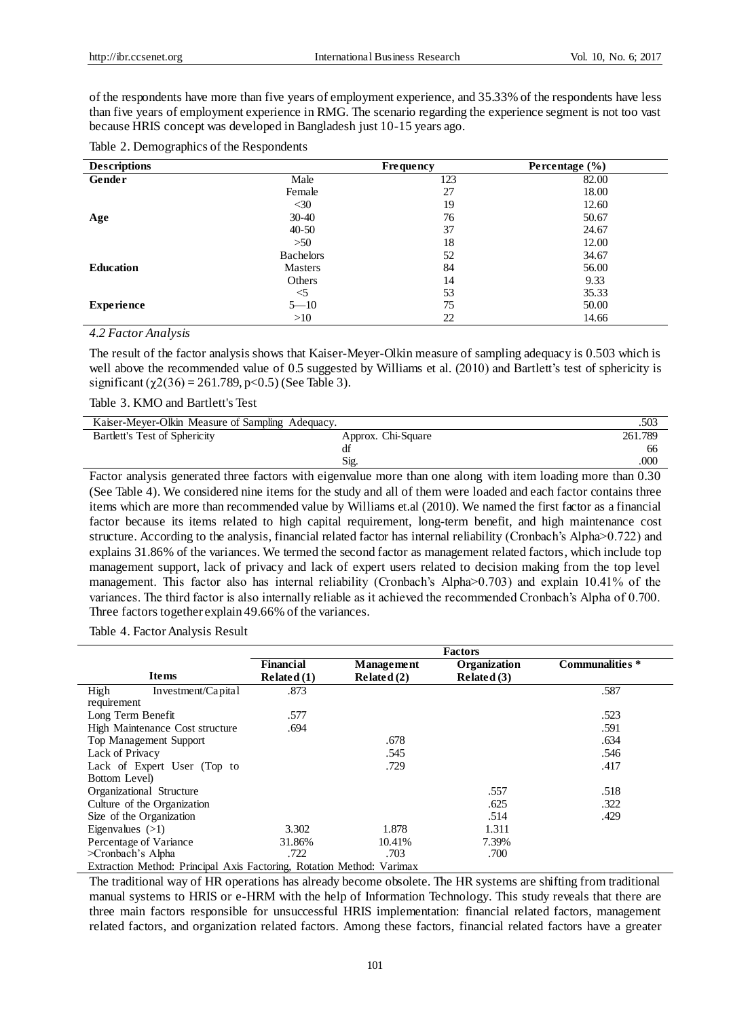of the respondents have more than five years of employment experience, and 35.33% of the respondents have less than five years of employment experience in RMG. The scenario regarding the experience segment is not too vast because HRIS concept was developed in Bangladesh just 10-15 years ago.

| Table 2. Demographics of the Respondents |  |
|------------------------------------------|--|
|------------------------------------------|--|

| <b>Descriptions</b> |                  | <b>Frequency</b> | Percentage $(\% )$ |
|---------------------|------------------|------------------|--------------------|
| Gender              | Male             | 123              | 82.00              |
|                     | Female           | 27               | 18.00              |
|                     | $<$ 30           | 19               | 12.60              |
| Age                 | $30-40$          | 76               | 50.67              |
|                     | $40 - 50$        | 37               | 24.67              |
|                     | >50              | 18               | 12.00              |
|                     | <b>Bachelors</b> | 52               | 34.67              |
| <b>Education</b>    | <b>Masters</b>   | 84               | 56.00              |
|                     | Others           | 14               | 9.33               |
|                     | $<$ 5            | 53               | 35.33              |
| <b>Experience</b>   | $5 - 10$         | 75               | 50.00              |
|                     | >10              | 22               | 14.66              |

### *4.2 Factor Analysis*

The result of the factor analysis shows that Kaiser-Meyer-Olkin measure of sampling adequacy is 0.503 which is well above the recommended value of 0.5 suggested by Williams et al. (2010) and Bartlett's test of sphericity is significant ( $\chi$ 2(36) = 261.789, p<0.5) (See Table 3).

Table 3. KMO and Bartlett's Test

| Kaiser-Meyer-Olkin Measure of Sampling Adequacy. |                    | .503           |
|--------------------------------------------------|--------------------|----------------|
| Bartlett's Test of Sphericity                    | Approx. Chi-Square | 261.789        |
|                                                  |                    | <sub>0</sub> c |
|                                                  | Sig.               | .000           |

Factor analysis generated three factors with eigenvalue more than one along with item loading more than 0.30 (See Table 4). We considered nine items for the study and all of them were loaded and each factor contains three items which are more than recommended value by Williams et.al (2010). We named the first factor as a financial factor because its items related to high capital requirement, long-term benefit, and high maintenance cost structure. According to the analysis, financial related factor has internal reliability (Cronbach's Alpha>0.722) and explains 31.86% of the variances. We termed the second factor as management related factors, which include top management support, lack of privacy and lack of expert users related to decision making from the top level management. This factor also has internal reliability (Cronbach's Alpha>0.703) and explain 10.41% of the variances. The third factor is also internally reliable as it achieved the recommended Cronbach's Alpha of 0.700. Three factors together explain 49.66% of the variances.

Table 4. Factor Analysis Result

| <b>Factors</b>                 |                             |                                                                       |                 |
|--------------------------------|-----------------------------|-----------------------------------------------------------------------|-----------------|
| <b>Financial</b><br>Related(1) | Management<br>Related $(2)$ | Organization<br>Related $(3)$                                         | Communalities * |
| .873                           |                             |                                                                       | .587            |
|                                |                             |                                                                       |                 |
| .577                           |                             |                                                                       | .523            |
| .694                           |                             |                                                                       | .591            |
|                                | .678                        |                                                                       | .634            |
|                                | .545                        |                                                                       | .546            |
|                                | .729                        |                                                                       | .417            |
|                                |                             |                                                                       |                 |
|                                |                             | .557                                                                  | .518            |
|                                |                             | .625                                                                  | .322            |
|                                |                             | .514                                                                  | .429            |
| 3.302                          | 1.878                       | 1.311                                                                 |                 |
| 31.86%                         | 10.41%                      | 7.39%                                                                 |                 |
| .722                           | .703                        | .700                                                                  |                 |
|                                |                             | Extraction Mathod: Dringinal Avis Esctoring, Detation Mathod: Verimey |                 |

Extraction Method: Principal Axis Factoring, Rotation Method: Varimax

The traditional way of HR operations has already become obsolete. The HR systems are shifting from traditional manual systems to HRIS or e-HRM with the help of Information Technology. This study reveals that there are three main factors responsible for unsuccessful HRIS implementation: financial related factors, management related factors, and organization related factors. Among these factors, financial related factors have a greater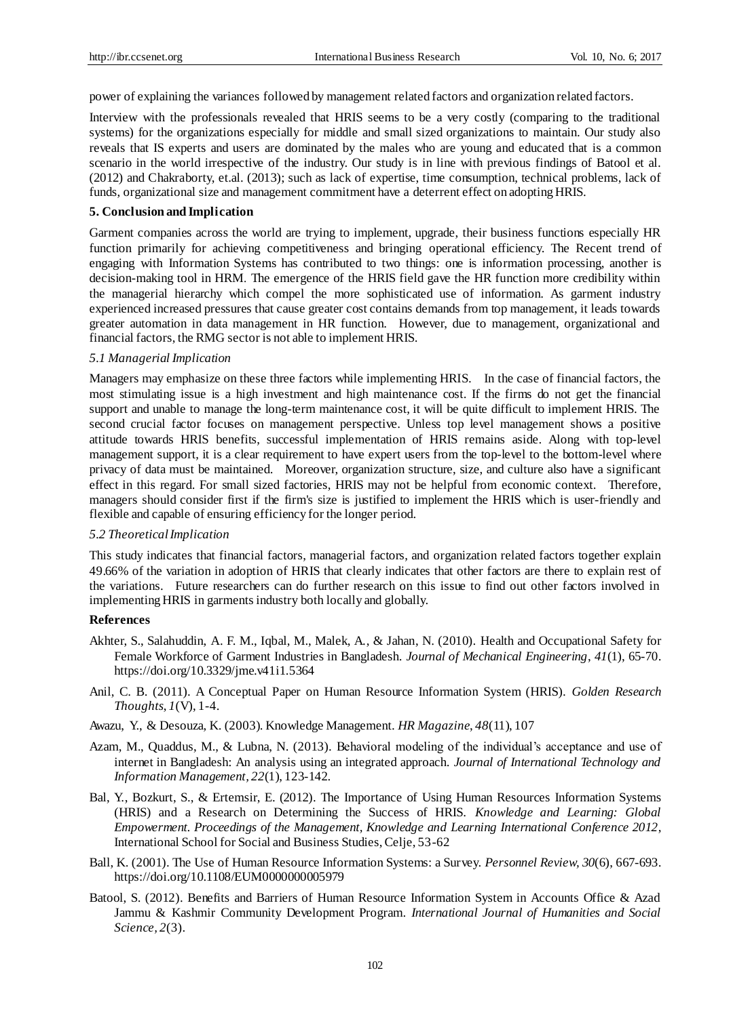power of explaining the variances followed by management related factors and organization related factors.

Interview with the professionals revealed that HRIS seems to be a very costly (comparing to the traditional systems) for the organizations especially for middle and small sized organizations to maintain. Our study also reveals that IS experts and users are dominated by the males who are young and educated that is a common scenario in the world irrespective of the industry. Our study is in line with previous findings of Batool et al. (2012) and Chakraborty, et.al. (2013); such as lack of expertise, time consumption, technical problems, lack of funds, organizational size and management commitment have a deterrent effect on adopting HRIS.

#### **5. Conclusion and Implication**

Garment companies across the world are trying to implement, upgrade, their business functions especially HR function primarily for achieving competitiveness and bringing operational efficiency. The Recent trend of engaging with Information Systems has contributed to two things: one is information processing, another is decision-making tool in HRM. The emergence of the HRIS field gave the HR function more credibility within the managerial hierarchy which compel the more sophisticated use of information. As garment industry experienced increased pressures that cause greater cost contains demands from top management, it leads towards greater automation in data management in HR function. However, due to management, organizational and financial factors, the RMG sector is not able to implement HRIS.

## *5.1 Managerial Implication*

Managers may emphasize on these three factors while implementing HRIS. In the case of financial factors, the most stimulating issue is a high investment and high maintenance cost. If the firms do not get the financial support and unable to manage the long-term maintenance cost, it will be quite difficult to implement HRIS. The second crucial factor focuses on management perspective. Unless top level management shows a positive attitude towards HRIS benefits, successful implementation of HRIS remains aside. Along with top-level management support, it is a clear requirement to have expert users from the top-level to the bottom-level where privacy of data must be maintained. Moreover, organization structure, size, and culture also have a significant effect in this regard. For small sized factories, HRIS may not be helpful from economic context. Therefore, managers should consider first if the firm's size is justified to implement the HRIS which is user-friendly and flexible and capable of ensuring efficiency for the longer period.

#### *5.2 Theoretical Implication*

This study indicates that financial factors, managerial factors, and organization related factors together explain 49.66% of the variation in adoption of HRIS that clearly indicates that other factors are there to explain rest of the variations. Future researchers can do further research on this issue to find out other factors involved in implementing HRIS in garments industry both locally and globally.

#### **References**

- Akhter, S., Salahuddin, A. F. M., Iqbal, M., Malek, A., & Jahan, N. (2010). Health and Occupational Safety for Female Workforce of Garment Industries in Bangladesh. *Journal of Mechanical Engineering*, *41*(1), 65-70. https://doi.org/10.3329/jme.v41i1.5364
- Anil, C. B. (2011). A Conceptual Paper on Human Resource Information System (HRIS). *Golden Research Thoughts*, *1*(V), 1-4.
- Awazu, Y., & Desouza, K. (2003). Knowledge Management. *HR Magazine*, *48*(11), 107
- Azam, M., Quaddus, M., & Lubna, N. (2013). Behavioral modeling of the individual's acceptance and use of internet in Bangladesh: An analysis using an integrated approach. *Journal of International Technology and Information Management, 22*(1), 123-142.
- Bal, Y., Bozkurt, S., & Ertemsir, E. (2012). The Importance of Using Human Resources Information Systems (HRIS) and a Research on Determining the Success of HRIS. *Knowledge and Learning: Global Empowerment. Proceedings of the Management, Knowledge and Learning International Conference 2012*, International School for Social and Business Studies, Celje, 53-62
- Ball, K. (2001). The Use of Human Resource Information Systems: a Survey. *Personnel Review, 30*(6), 667-693. https://doi.org/10.1108/EUM0000000005979
- Batool, S. (2012). Benefits and Barriers of Human Resource Information System in Accounts Office & Azad Jammu & Kashmir Community Development Program. *International Journal of Humanities and Social Science, 2*(3).